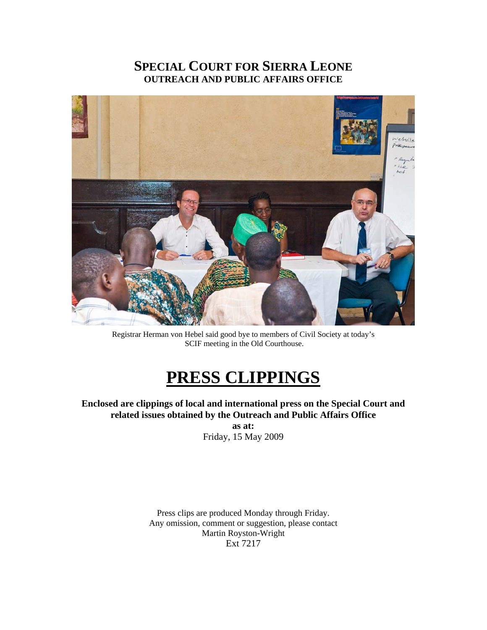## **SPECIAL COURT FOR SIERRA LEONE OUTREACH AND PUBLIC AFFAIRS OFFICE**



Registrar Herman von Hebel said good bye to members of Civil Society at today's SCIF meeting in the Old Courthouse.

# **PRESS CLIPPINGS**

**Enclosed are clippings of local and international press on the Special Court and related issues obtained by the Outreach and Public Affairs Office** 

> **as at:**  Friday, 15 May 2009

Press clips are produced Monday through Friday. Any omission, comment or suggestion, please contact Martin Royston-Wright Ext 7217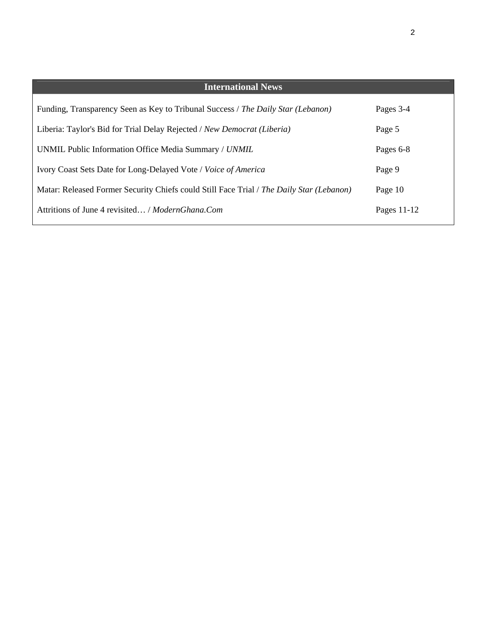| <b>International News</b>                                                                |               |
|------------------------------------------------------------------------------------------|---------------|
| Funding, Transparency Seen as Key to Tribunal Success / The Daily Star (Lebanon)         | Pages 3-4     |
| Liberia: Taylor's Bid for Trial Delay Rejected / New Democrat (Liberia)                  | Page 5        |
| UNMIL Public Information Office Media Summary / UNMIL                                    | Pages 6-8     |
| Ivory Coast Sets Date for Long-Delayed Vote / Voice of America                           | Page 9        |
| Matar: Released Former Security Chiefs could Still Face Trial / The Daily Star (Lebanon) | Page 10       |
| Attritions of June 4 revisited / ModernGhana.Com                                         | Pages $11-12$ |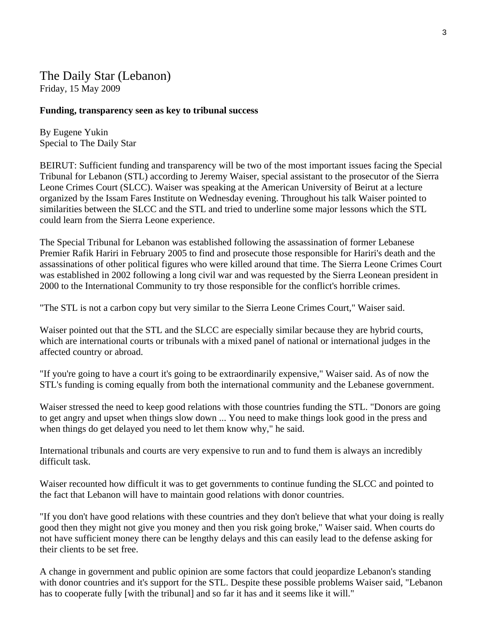The Daily Star (Lebanon) Friday, 15 May 2009

### **Funding, transparency seen as key to tribunal success**

By Eugene Yukin Special to The Daily Star

BEIRUT: Sufficient funding and transparency will be two of the most important issues facing the Special Tribunal for Lebanon (STL) according to Jeremy Waiser, special assistant to the prosecutor of the Sierra Leone Crimes Court (SLCC). Waiser was speaking at the American University of Beirut at a lecture organized by the Issam Fares Institute on Wednesday evening. Throughout his talk Waiser pointed to similarities between the SLCC and the STL and tried to underline some major lessons which the STL could learn from the Sierra Leone experience.

The Special Tribunal for Lebanon was established following the assassination of former Lebanese Premier Rafik Hariri in February 2005 to find and prosecute those responsible for Hariri's death and the assassinations of other political figures who were killed around that time. The Sierra Leone Crimes Court was established in 2002 following a long civil war and was requested by the Sierra Leonean president in 2000 to the International Community to try those responsible for the conflict's horrible crimes.

"The STL is not a carbon copy but very similar to the Sierra Leone Crimes Court," Waiser said.

Waiser pointed out that the STL and the SLCC are especially similar because they are hybrid courts, which are international courts or tribunals with a mixed panel of national or international judges in the affected country or abroad.

"If you're going to have a court it's going to be extraordinarily expensive," Waiser said. As of now the STL's funding is coming equally from both the international community and the Lebanese government.

Waiser stressed the need to keep good relations with those countries funding the STL. "Donors are going to get angry and upset when things slow down ... You need to make things look good in the press and when things do get delayed you need to let them know why," he said.

International tribunals and courts are very expensive to run and to fund them is always an incredibly difficult task.

Waiser recounted how difficult it was to get governments to continue funding the SLCC and pointed to the fact that Lebanon will have to maintain good relations with donor countries.

"If you don't have good relations with these countries and they don't believe that what your doing is really good then they might not give you money and then you risk going broke," Waiser said. When courts do not have sufficient money there can be lengthy delays and this can easily lead to the defense asking for their clients to be set free.

A change in government and public opinion are some factors that could jeopardize Lebanon's standing with donor countries and it's support for the STL. Despite these possible problems Waiser said, "Lebanon" has to cooperate fully [with the tribunal] and so far it has and it seems like it will."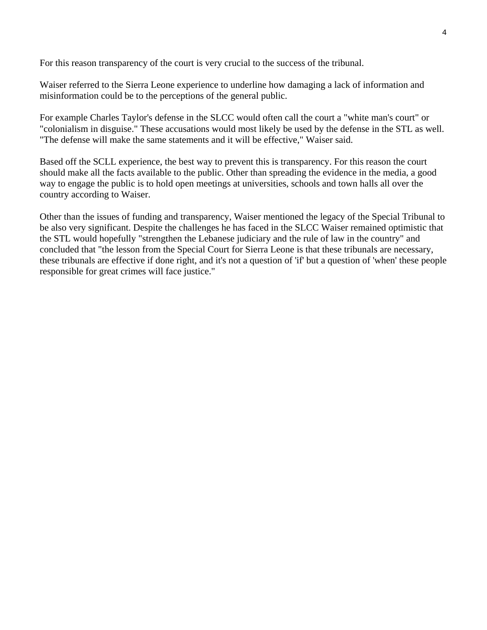For this reason transparency of the court is very crucial to the success of the tribunal.

Waiser referred to the Sierra Leone experience to underline how damaging a lack of information and misinformation could be to the perceptions of the general public.

For example Charles Taylor's defense in the SLCC would often call the court a "white man's court" or "colonialism in disguise." These accusations would most likely be used by the defense in the STL as well. "The defense will make the same statements and it will be effective," Waiser said.

Based off the SCLL experience, the best way to prevent this is transparency. For this reason the court should make all the facts available to the public. Other than spreading the evidence in the media, a good way to engage the public is to hold open meetings at universities, schools and town halls all over the country according to Waiser.

Other than the issues of funding and transparency, Waiser mentioned the legacy of the Special Tribunal to be also very significant. Despite the challenges he has faced in the SLCC Waiser remained optimistic that the STL would hopefully "strengthen the Lebanese judiciary and the rule of law in the country" and concluded that "the lesson from the Special Court for Sierra Leone is that these tribunals are necessary, these tribunals are effective if done right, and it's not a question of 'if' but a question of 'when' these people responsible for great crimes will face justice."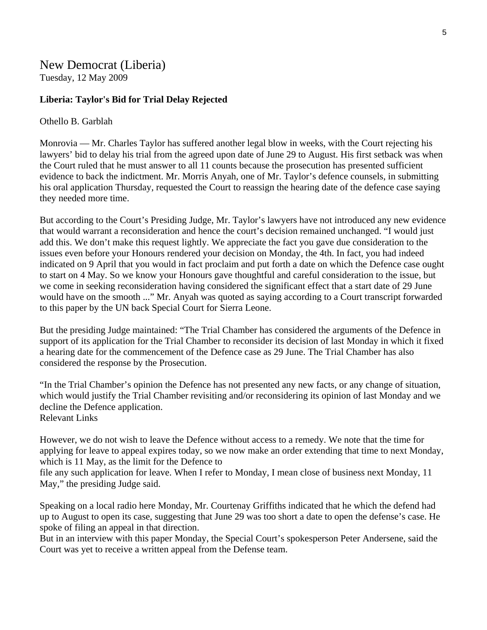New Democrat (Liberia) Tuesday, 12 May 2009

### **Liberia: Taylor's Bid for Trial Delay Rejected**

### Othello B. Garblah

Monrovia — Mr. Charles Taylor has suffered another legal blow in weeks, with the Court rejecting his lawyers' bid to delay his trial from the agreed upon date of June 29 to August. His first setback was when the Court ruled that he must answer to all 11 counts because the prosecution has presented sufficient evidence to back the indictment. Mr. Morris Anyah, one of Mr. Taylor's defence counsels, in submitting his oral application Thursday, requested the Court to reassign the hearing date of the defence case saying they needed more time.

But according to the Court's Presiding Judge, Mr. Taylor's lawyers have not introduced any new evidence that would warrant a reconsideration and hence the court's decision remained unchanged. "I would just add this. We don't make this request lightly. We appreciate the fact you gave due consideration to the issues even before your Honours rendered your decision on Monday, the 4th. In fact, you had indeed indicated on 9 April that you would in fact proclaim and put forth a date on which the Defence case ought to start on 4 May. So we know your Honours gave thoughtful and careful consideration to the issue, but we come in seeking reconsideration having considered the significant effect that a start date of 29 June would have on the smooth ..." Mr. Anyah was quoted as saying according to a Court transcript forwarded to this paper by the UN back Special Court for Sierra Leone.

But the presiding Judge maintained: "The Trial Chamber has considered the arguments of the Defence in support of its application for the Trial Chamber to reconsider its decision of last Monday in which it fixed a hearing date for the commencement of the Defence case as 29 June. The Trial Chamber has also considered the response by the Prosecution.

"In the Trial Chamber's opinion the Defence has not presented any new facts, or any change of situation, which would justify the Trial Chamber revisiting and/or reconsidering its opinion of last Monday and we decline the Defence application. Relevant Links

However, we do not wish to leave the Defence without access to a remedy. We note that the time for applying for leave to appeal expires today, so we now make an order extending that time to next Monday, which is 11 May, as the limit for the Defence to

file any such application for leave. When I refer to Monday, I mean close of business next Monday, 11 May," the presiding Judge said.

Speaking on a local radio here Monday, Mr. Courtenay Griffiths indicated that he which the defend had up to August to open its case, suggesting that June 29 was too short a date to open the defense's case. He spoke of filing an appeal in that direction.

But in an interview with this paper Monday, the Special Court's spokesperson Peter Andersene, said the Court was yet to receive a written appeal from the Defense team.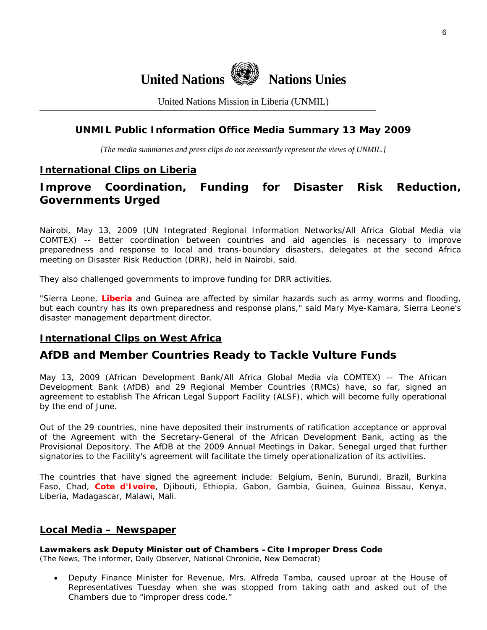

United Nations Mission in Liberia (UNMIL)

### **UNMIL Public Information Office Media Summary 13 May 2009**

*[The media summaries and press clips do not necessarily represent the views of UNMIL.]* 

### **International Clips on Liberia**

### **Improve Coordination, Funding for Disaster Risk Reduction, Governments Urged**

Nairobi, May 13, 2009 (UN Integrated Regional Information Networks/All Africa Global Media via COMTEX) -- Better coordination between countries and aid agencies is necessary to improve preparedness and response to local and trans-boundary disasters, delegates at the second Africa meeting on Disaster Risk Reduction (DRR), held in Nairobi, said.

They also challenged governments to improve funding for DRR activities.

"Sierra Leone, **Liberia** and Guinea are affected by similar hazards such as army worms and flooding, but each country has its own preparedness and response plans," said Mary Mye-Kamara, Sierra Leone's disaster management department director.

### **International Clips on West Africa**

### **AfDB and Member Countries Ready to Tackle Vulture Funds**

May 13, 2009 (African Development Bank/All Africa Global Media via COMTEX) -- The African Development Bank (AfDB) and 29 Regional Member Countries (RMCs) have, so far, signed an agreement to establish The African Legal Support Facility (ALSF), which will become fully operational by the end of June.

Out of the 29 countries, nine have deposited their instruments of ratification acceptance or approval of the Agreement with the Secretary-General of the African Development Bank, acting as the Provisional Depository. The AfDB at the 2009 Annual Meetings in Dakar, Senegal urged that further signatories to the Facility's agreement will facilitate the timely operationalization of its activities.

The countries that have signed the agreement include: Belgium, Benin, Burundi, Brazil, Burkina Faso, Chad, **Cote d'Ivoire**, Djibouti, Ethiopia, Gabon, Gambia, Guinea, Guinea Bissau, Kenya, Liberia, Madagascar, Malawi, Mali.

### **Local Media – Newspaper**

### **Lawmakers ask Deputy Minister out of Chambers –Cite Improper Dress Code**

(The News, The Informer, Daily Observer, National Chronicle, New Democrat)

• Deputy Finance Minister for Revenue, Mrs. Alfreda Tamba, caused uproar at the House of Representatives Tuesday when she was stopped from taking oath and asked out of the Chambers due to "improper dress code."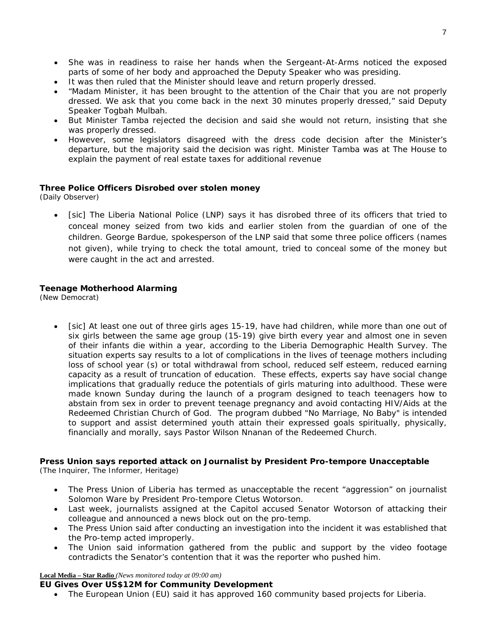- She was in readiness to raise her hands when the Sergeant-At-Arms noticed the exposed parts of some of her body and approached the Deputy Speaker who was presiding.
- It was then ruled that the Minister should leave and return properly dressed.
- "Madam Minister, it has been brought to the attention of the Chair that you are not properly dressed. We ask that you come back in the next 30 minutes properly dressed," said Deputy Speaker Togbah Mulbah.
- But Minister Tamba rejected the decision and said she would not return, insisting that she was properly dressed.
- However, some legislators disagreed with the dress code decision after the Minister's departure, but the majority said the decision was right. Minister Tamba was at The House to explain the payment of real estate taxes for additional revenue

### **Three Police Officers Disrobed over stolen money**

(Daily Observer)

• [sic] The Liberia National Police (LNP) says it has disrobed three of its officers that tried to conceal money seized from two kids and earlier stolen from the guardian of one of the children. George Bardue, spokesperson of the LNP said that some three police officers (names not given), while trying to check the total amount, tried to conceal some of the money but were caught in the act and arrested.

### **Teenage Motherhood Alarming**

(New Democrat)

• [sic] At least one out of three girls ages 15-19, have had children, while more than one out of six girls between the same age group (15-19) give birth every year and almost one in seven of their infants die within a year, according to the Liberia Demographic Health Survey. The situation experts say results to a lot of complications in the lives of teenage mothers including loss of school year (s) or total withdrawal from school, reduced self esteem, reduced earning capacity as a result of truncation of education. These effects, experts say have social change implications that gradually reduce the potentials of girls maturing into adulthood. These were made known Sunday during the launch of a program designed to teach teenagers how to abstain from sex in order to prevent teenage pregnancy and avoid contacting HIV/Aids at the Redeemed Christian Church of God. The program dubbed "No Marriage, No Baby" is intended to support and assist determined youth attain their expressed goals spiritually, physically, financially and morally, says Pastor Wilson Nnanan of the Redeemed Church.

# **Press Union says reported attack on Journalist by President Pro-tempore Unacceptable**

(The Inquirer, The Informer, Heritage)

- The Press Union of Liberia has termed as unacceptable the recent "aggression" on journalist Solomon Ware by President Pro-tempore Cletus Wotorson.
- Last week, journalists assigned at the Capitol accused Senator Wotorson of attacking their colleague and announced a news block out on the pro-temp.
- The Press Union said after conducting an investigation into the incident it was established that the Pro-temp acted improperly.
- The Union said information gathered from the public and support by the video footage contradicts the Senator's contention that it was the reporter who pushed him.

#### **Local Media – Star Radio** *(News monitored today at 09:00 am)*

#### **EU Gives Over US\$12M for Community Development**

• The European Union (EU) said it has approved 160 community based projects for Liberia.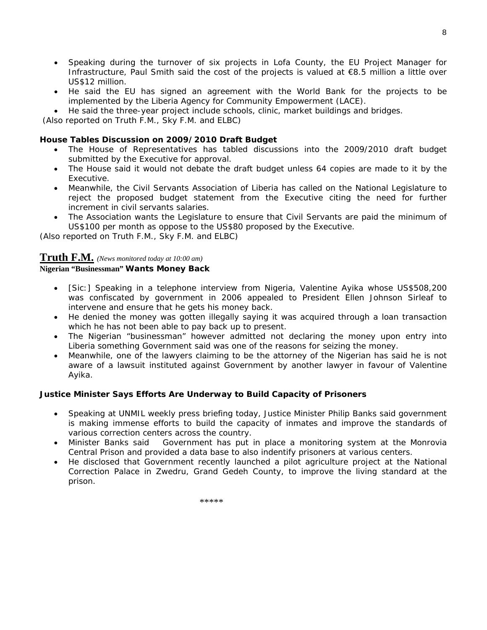• Speaking during the turnover of six projects in Lofa County, the EU Project Manager for Infrastructure, Paul Smith said the cost of the projects is valued at €8.5 million a little over US\$12 million.

8

- He said the EU has signed an agreement with the World Bank for the projects to be implemented by the Liberia Agency for Community Empowerment (LACE).
- He said the three-year project include schools, clinic, market buildings and bridges.

 *(Also reported on Truth F.M., Sky F.M. and ELBC*)

### **House Tables Discussion on 2009/2010 Draft Budget**

- The House of Representatives has tabled discussions into the 2009/2010 draft budget submitted by the Executive for approval.
- The House said it would not debate the draft budget unless 64 copies are made to it by the Executive.
- Meanwhile, the Civil Servants Association of Liberia has called on the National Legislature to reject the proposed budget statement from the Executive citing the need for further increment in civil servants salaries.
- The Association wants the Legislature to ensure that Civil Servants are paid the minimum of US\$100 per month as oppose to the US\$80 proposed by the Executive.

*(Also reported on Truth F.M., Sky F.M. and ELBC*)

### **Truth F.M.** *(News monitored today at 10:00 am)*

### **Nigerian "Businessman" Wants Money Back**

- [Sic:] Speaking in a telephone interview from Nigeria, Valentine Ayika whose US\$508,200 was confiscated by government in 2006 appealed to President Ellen Johnson Sirleaf to intervene and ensure that he gets his money back.
- He denied the money was gotten illegally saying it was acquired through a loan transaction which he has not been able to pay back up to present.
- The Nigerian "businessman" however admitted not declaring the money upon entry into Liberia something Government said was one of the reasons for seizing the money.
- Meanwhile, one of the lawyers claiming to be the attorney of the Nigerian has said he is not aware of a lawsuit instituted against Government by another lawyer in favour of Valentine Ayika.

### **Justice Minister Says Efforts Are Underway to Build Capacity of Prisoners**

- Speaking at UNMIL weekly press briefing today, Justice Minister Philip Banks said government is making immense efforts to build the capacity of inmates and improve the standards of various correction centers across the country.
- Minister Banks said Government has put in place a monitoring system at the Monrovia Central Prison and provided a data base to also indentify prisoners at various centers.
- He disclosed that Government recently launched a pilot agriculture project at the National Correction Palace in Zwedru, Grand Gedeh County, to improve the living standard at the prison.

\*\*\*\*\*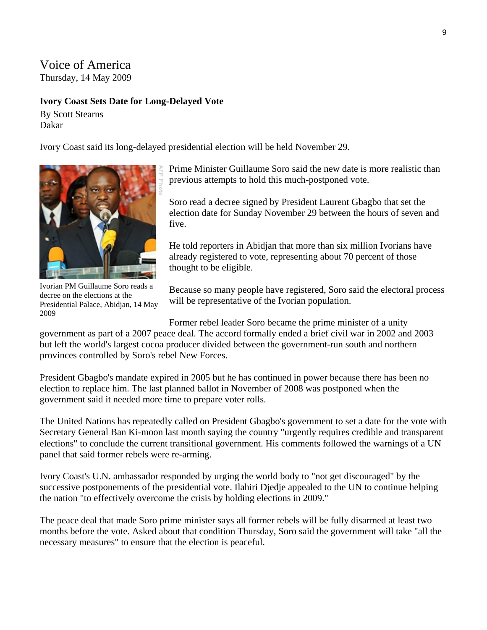# Voice of America

Thursday, 14 May 2009

### **Ivory Coast Sets Date for Long-Delayed Vote**

By Scott Stearns Dakar

Ivory Coast said its long-delayed presidential election will be held November 29.



Ivorian PM Guillaume Soro reads a decree on the elections at the Presidential Palace, Abidjan, 14 May 2009

Prime Minister Guillaume Soro said the new date is more realistic than previous attempts to hold this much-postponed vote.

Soro read a decree signed by President Laurent Gbagbo that set the election date for Sunday November 29 between the hours of seven and five.

He told reporters in Abidjan that more than six million Ivorians have already registered to vote, representing about 70 percent of those thought to be eligible.

Because so many people have registered, Soro said the electoral process will be representative of the Ivorian population.

Former rebel leader Soro became the prime minister of a unity

government as part of a 2007 peace deal. The accord formally ended a brief civil war in 2002 and 2003 but left the world's largest cocoa producer divided between the government-run south and northern provinces controlled by Soro's rebel New Forces.

President Gbagbo's mandate expired in 2005 but he has continued in power because there has been no election to replace him. The last planned ballot in November of 2008 was postponed when the government said it needed more time to prepare voter rolls.

The United Nations has repeatedly called on President Gbagbo's government to set a date for the vote with Secretary General Ban Ki-moon last month saying the country "urgently requires credible and transparent elections" to conclude the current transitional government. His comments followed the warnings of a UN panel that said former rebels were re-arming.

Ivory Coast's U.N. ambassador responded by urging the world body to "not get discouraged" by the successive postponements of the presidential vote. Ilahiri Djedje appealed to the UN to continue helping the nation "to effectively overcome the crisis by holding elections in 2009."

The peace deal that made Soro prime minister says all former rebels will be fully disarmed at least two months before the vote. Asked about that condition Thursday, Soro said the government will take "all the necessary measures" to ensure that the election is peaceful.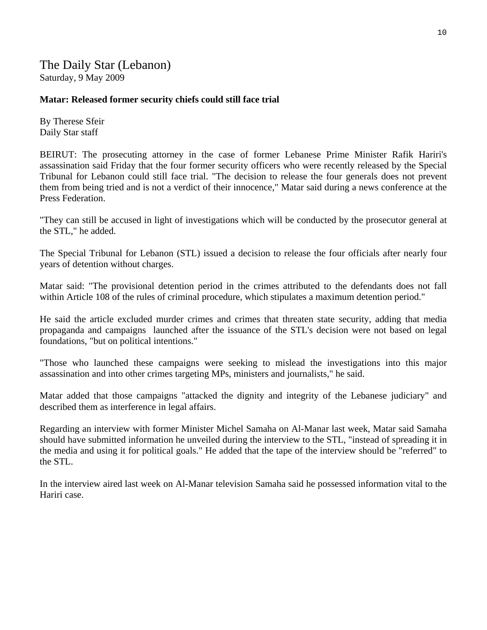The Daily Star (Lebanon) Saturday, 9 May 2009

### **Matar: Released former security chiefs could still face trial**

By Therese Sfeir Daily Star staff

BEIRUT: The prosecuting attorney in the case of former Lebanese Prime Minister Rafik Hariri's assassination said Friday that the four former security officers who were recently released by the Special Tribunal for Lebanon could still face trial. "The decision to release the four generals does not prevent them from being tried and is not a verdict of their innocence," Matar said during a news conference at the Press Federation.

"They can still be accused in light of investigations which will be conducted by the prosecutor general at the STL," he added.

The Special Tribunal for Lebanon (STL) issued a decision to release the four officials after nearly four years of detention without charges.

Matar said: "The provisional detention period in the crimes attributed to the defendants does not fall within Article 108 of the rules of criminal procedure, which stipulates a maximum detention period."

He said the article excluded murder crimes and crimes that threaten state security, adding that media propaganda and campaigns launched after the issuance of the STL's decision were not based on legal foundations, "but on political intentions."

"Those who launched these campaigns were seeking to mislead the investigations into this major assassination and into other crimes targeting MPs, ministers and journalists," he said.

Matar added that those campaigns "attacked the dignity and integrity of the Lebanese judiciary" and described them as interference in legal affairs.

Regarding an interview with former Minister Michel Samaha on Al-Manar last week, Matar said Samaha should have submitted information he unveiled during the interview to the STL, "instead of spreading it in the media and using it for political goals." He added that the tape of the interview should be "referred" to the STL.

In the interview aired last week on Al-Manar television Samaha said he possessed information vital to the Hariri case.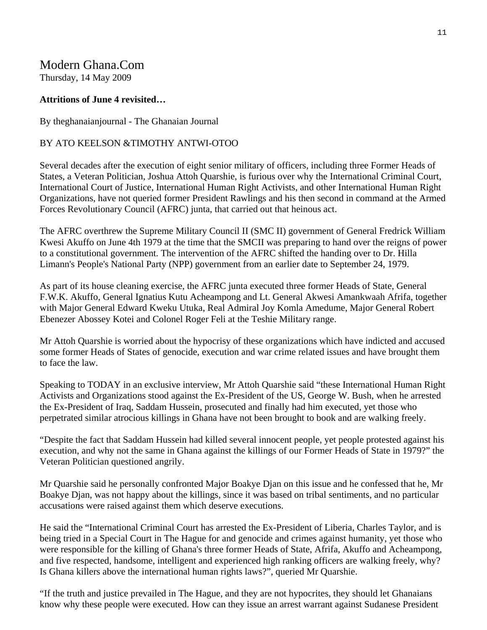## Modern Ghana.Com

Thursday, 14 May 2009

### **Attritions of June 4 revisited…**

By theghanaianjournal - The Ghanaian Journal

### BY ATO KEELSON &TIMOTHY ANTWI-OTOO

Several decades after the execution of eight senior military of officers, including three Former Heads of States, a Veteran Politician, Joshua Attoh Quarshie, is furious over why the International Criminal Court, International Court of Justice, International Human Right Activists, and other International Human Right Organizations, have not queried former President Rawlings and his then second in command at the Armed Forces Revolutionary Council (AFRC) junta, that carried out that heinous act.

The AFRC overthrew the Supreme Military Council II (SMC II) government of General Fredrick William Kwesi Akuffo on June 4th 1979 at the time that the SMCII was preparing to hand over the reigns of power to a constitutional government. The intervention of the AFRC shifted the handing over to Dr. Hilla Limann's People's National Party (NPP) government from an earlier date to September 24, 1979.

As part of its house cleaning exercise, the AFRC junta executed three former Heads of State, General F.W.K. Akuffo, General Ignatius Kutu Acheampong and Lt. General Akwesi Amankwaah Afrifa, together with Major General Edward Kweku Utuka, Real Admiral Joy Komla Amedume, Major General Robert Ebenezer Abossey Kotei and Colonel Roger Feli at the Teshie Military range.

Mr Attoh Quarshie is worried about the hypocrisy of these organizations which have indicted and accused some former Heads of States of genocide, execution and war crime related issues and have brought them to face the law.

Speaking to TODAY in an exclusive interview, Mr Attoh Quarshie said "these International Human Right Activists and Organizations stood against the Ex-President of the US, George W. Bush, when he arrested the Ex-President of Iraq, Saddam Hussein, prosecuted and finally had him executed, yet those who perpetrated similar atrocious killings in Ghana have not been brought to book and are walking freely.

"Despite the fact that Saddam Hussein had killed several innocent people, yet people protested against his execution, and why not the same in Ghana against the killings of our Former Heads of State in 1979?" the Veteran Politician questioned angrily.

Mr Quarshie said he personally confronted Major Boakye Djan on this issue and he confessed that he, Mr Boakye Djan, was not happy about the killings, since it was based on tribal sentiments, and no particular accusations were raised against them which deserve executions.

He said the "International Criminal Court has arrested the Ex-President of Liberia, Charles Taylor, and is being tried in a Special Court in The Hague for and genocide and crimes against humanity, yet those who were responsible for the killing of Ghana's three former Heads of State, Afrifa, Akuffo and Acheampong, and five respected, handsome, intelligent and experienced high ranking officers are walking freely, why? Is Ghana killers above the international human rights laws?", queried Mr Quarshie.

"If the truth and justice prevailed in The Hague, and they are not hypocrites, they should let Ghanaians know why these people were executed. How can they issue an arrest warrant against Sudanese President